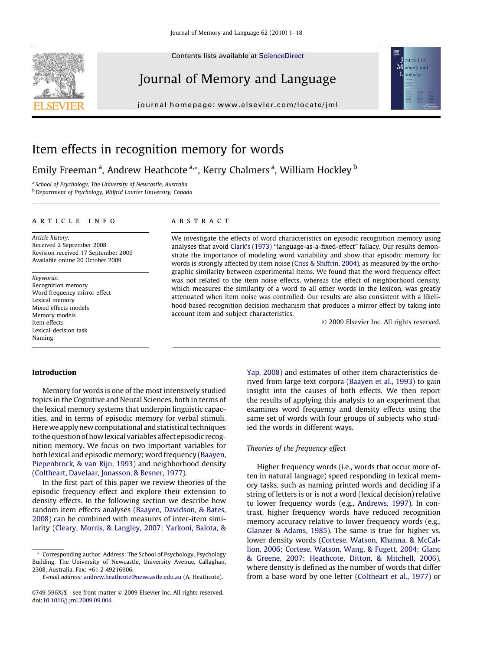Contents lists available at [ScienceDirect](http://www.sciencedirect.com/science/journal/0749596X)

# Journal of Memory and Language

journal homepage: www.el [sevier.com/locate/jml](http://www.elsevier.com/locate/jml)



# Item effects in recognition memory for words

Emily Freeman <sup>a</sup>, Andrew Heathcote <sup>a,</sup>\*, Kerry Chalmers <sup>a</sup>, William Hockley <sup>b</sup>

<sup>a</sup> School of Psychology, The University of Newcastle, Australia **b** Department of Psychology, Wilfrid Laurier University, Canada

#### article info

Article history: Received 2 September 2008 Revision received 17 September 2009 Available online 20 October 2009

Keywords: Recognition memory Word frequency mirror effect Lexical memory Mixed effects models Memory models Item effects Lexical-decision task Naming

# **ABSTRACT**

We investigate the effects of word characteristics on episodic recognition memory using analyses that avoid [Clark's \(1973\)](#page-16-0) ''language-as-a-fixed-effect" fallacy. Our results demonstrate the importance of modeling word variability and show that episodic memory for words is strongly affected by item noise [\(Criss & Shiffrin, 2004](#page-16-0)), as measured by the orthographic similarity between experimental items. We found that the word frequency effect was not related to the item noise effects, whereas the effect of neighborhood density, which measures the similarity of a word to all other words in the lexicon, was greatly attenuated when item noise was controlled. Our results are also consistent with a likelihood based recognition decision mechanism that produces a mirror effect by taking into account item and subject characteristics.

- 2009 Elsevier Inc. All rights reserved.

#### Introduction

Memory for words is one of the most intensively studied topics in the Cognitive and Neural Sciences, both in terms of the lexical memory systems that underpin linguistic capacities, and in terms of episodic memory for verbal stimuli. Here we apply new computational and statistical techniques to the question of how lexical variables affect episodic recognition memory. We focus on two important variables for both lexical and episodic memory; word frequency ([Baayen,](#page-16-0) [Piepenbrock, & van Rijn, 1993\)](#page-16-0) and neighborhood density ([Coltheart, Davelaar, Jonasson, & Besner, 1977\)](#page-16-0).

In the first part of this paper we review theories of the episodic frequency effect and explore their extension to density effects. In the following section we describe how random item effects analyses [\(Baayen, Davidson, & Bates,](#page-16-0) [2008\)](#page-16-0) can be combined with measures of inter-item similarity [\(Cleary, Morris, & Langley, 2007; Yarkoni, Balota, &](#page-16-0) [Yap, 2008](#page-16-0)) and estimates of other item characteristics derived from large text corpora ([Baayen et al., 1993\)](#page-16-0) to gain insight into the causes of both effects. We then report the results of applying this analysis to an experiment that examines word frequency and density effects using the same set of words with four groups of subjects who studied the words in different ways.

# Theories of the frequency effect

Higher frequency words (i.e., words that occur more often in natural language) speed responding in lexical memory tasks, such as naming printed words and deciding if a string of letters is or is not a word (lexical decision) relative to lower frequency words (e.g., [Andrews, 1997](#page-16-0)). In contrast, higher frequency words have reduced recognition memory accuracy relative to lower frequency words (e.g., [Glanzer & Adams, 1985\)](#page-16-0). The same is true for higher vs. lower density words [\(Cortese, Watson, Khanna, & McCal](#page-16-0)[lion, 2006; Cortese, Watson, Wang, & Fugett, 2004; Glanc](#page-16-0) [& Greene, 2007; Heathcote, Ditton, & Mitchell, 2006](#page-16-0)), where density is defined as the number of words that differ from a base word by one letter [\(Coltheart et al., 1977](#page-16-0)) or

<sup>\*</sup> Corresponding author. Address: The School of Psychology, Psychology Building, The University of Newcastle, University Avenue, Callaghan, 2308, Australia. Fax: +61 2 49216906.

E-mail address: [andrew.heathcote@newcastle.edu.au](mailto:andrew.heathcote@newcastle.edu.au) (A. Heathcote).

<sup>0749-596</sup>X/\$ - see front matter © 2009 Elsevier Inc. All rights reserved. doi:[10.1016/j.jml.2009.09.004](http://dx.doi.org/10.1016/j.jml.2009.09.004)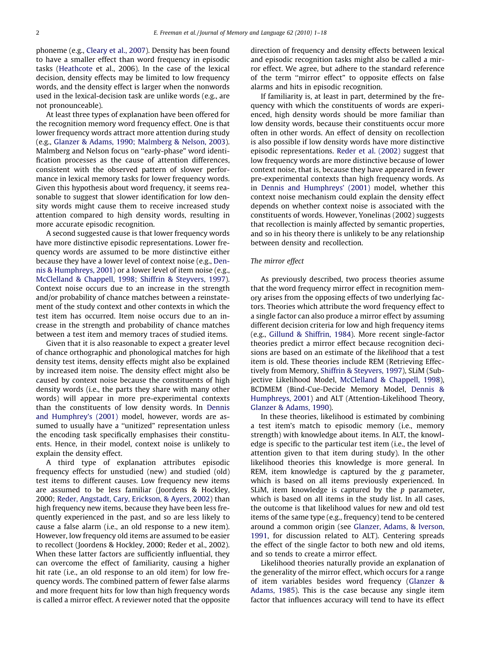phoneme (e.g., [Cleary et al., 2007](#page-16-0)). Density has been found to have a smaller effect than word frequency in episodic tasks [\(Heathcote](#page-16-0) et al., 2006). In the case of the lexical decision, density effects may be limited to low frequency words, and the density effect is larger when the nonwords used in the lexical-decision task are unlike words (e.g., are not pronounceable).

At least three types of explanation have been offered for the recognition memory word frequency effect. One is that lower frequency words attract more attention during study (e.g., [Glanzer & Adams, 1990; Malmberg & Nelson, 2003](#page-16-0)). Malmberg and Nelson focus on ''early-phase" word identification processes as the cause of attention differences, consistent with the observed pattern of slower performance in lexical memory tasks for lower frequency words. Given this hypothesis about word frequency, it seems reasonable to suggest that slower identification for low density words might cause them to receive increased study attention compared to high density words, resulting in more accurate episodic recognition.

A second suggested cause is that lower frequency words have more distinctive episodic representations. Lower frequency words are assumed to be more distinctive either because they have a lower level of context noise (e.g., [Den](#page-16-0)[nis & Humphreys, 2001](#page-16-0)) or a lower level of item noise (e.g., [McClelland & Chappell, 1998; Shiffrin & Steyvers, 1997](#page-16-0)). Context noise occurs due to an increase in the strength and/or probability of chance matches between a reinstatement of the study context and other contexts in which the test item has occurred. Item noise occurs due to an increase in the strength and probability of chance matches between a test item and memory traces of studied items.

Given that it is also reasonable to expect a greater level of chance orthographic and phonological matches for high density test items, density effects might also be explained by increased item noise. The density effect might also be caused by context noise because the constituents of high density words (i.e., the parts they share with many other words) will appear in more pre-experimental contexts than the constituents of low density words. In [Dennis](#page-16-0) [and Humphrey's \(2001\)](#page-16-0) model, however, words are assumed to usually have a ''unitized" representation unless the encoding task specifically emphasises their constituents. Hence, in their model, context noise is unlikely to explain the density effect.

A third type of explanation attributes episodic frequency effects for unstudied (new) and studied (old) test items to different causes. Low frequency new items are assumed to be less familiar (Joordens & Hockley, 2000; [Reder, Angstadt, Cary, Erickson, & Ayers, 2002\)](#page-16-0) than high frequency new items, because they have been less frequently experienced in the past, and so are less likely to cause a false alarm (i.e., an old response to a new item). However, low frequency old items are assumed to be easier to recollect (Joordens & Hockley, 2000; Reder et al., 2002). When these latter factors are sufficiently influential, they can overcome the effect of familiarity, causing a higher hit rate (i.e., an old response to an old item) for low frequency words. The combined pattern of fewer false alarms and more frequent hits for low than high frequency words is called a mirror effect. A reviewer noted that the opposite

direction of frequency and density effects between lexical and episodic recognition tasks might also be called a mirror effect. We agree, but adhere to the standard reference of the term ''mirror effect" to opposite effects on false alarms and hits in episodic recognition.

If familiarity is, at least in part, determined by the frequency with which the constituents of words are experienced, high density words should be more familiar than low density words, because their constituents occur more often in other words. An effect of density on recollection is also possible if low density words have more distinctive episodic representations. [Reder et al. \(2002\)](#page-16-0) suggest that low frequency words are more distinctive because of lower context noise, that is, because they have appeared in fewer pre-experimental contexts than high frequency words. As in [Dennis and Humphreys' \(2001\)](#page-16-0) model, whether this context noise mechanism could explain the density effect depends on whether context noise is associated with the constituents of words. However, Yonelinas (2002) suggests that recollection is mainly affected by semantic properties, and so in his theory there is unlikely to be any relationship between density and recollection.

#### The mirror effect

As previously described, two process theories assume that the word frequency mirror effect in recognition memory arises from the opposing effects of two underlying factors. Theories which attribute the word frequency effect to a single factor can also produce a mirror effect by assuming different decision criteria for low and high frequency items (e.g., [Gillund & Shiffrin, 1984\)](#page-16-0). More recent single-factor theories predict a mirror effect because recognition decisions are based on an estimate of the likelihood that a test item is old. These theories include REM (Retrieving Effectively from Memory, [Shiffrin & Steyvers, 1997](#page-17-0)), SLiM (Subjective Likelihood Model, [McClelland & Chappell, 1998\)](#page-16-0), BCDMEM (Bind-Cue-Decide Memory Model, [Dennis &](#page-16-0) [Humphreys, 2001](#page-16-0)) and ALT (Attention-Likelihood Theory, [Glanzer & Adams, 1990\)](#page-16-0).

In these theories, likelihood is estimated by combining a test item's match to episodic memory (i.e., memory strength) with knowledge about items. In ALT, the knowledge is specific to the particular test item (i.e., the level of attention given to that item during study). In the other likelihood theories this knowledge is more general. In REM, item knowledge is captured by the g parameter, which is based on all items previously experienced. In SLiM, item knowledge is captured by the  $p$  parameter, which is based on all items in the study list. In all cases, the outcome is that likelihood values for new and old test items of the same type (e.g., frequency) tend to be centered around a common origin (see [Glanzer, Adams, & Iverson,](#page-16-0) [1991](#page-16-0), for discussion related to ALT). Centering spreads the effect of the single factor to both new and old items, and so tends to create a mirror effect.

Likelihood theories naturally provide an explanation of the generality of the mirror effect, which occurs for a range of item variables besides word frequency ([Glanzer &](#page-16-0) [Adams, 1985\)](#page-16-0). This is the case because any single item factor that influences accuracy will tend to have its effect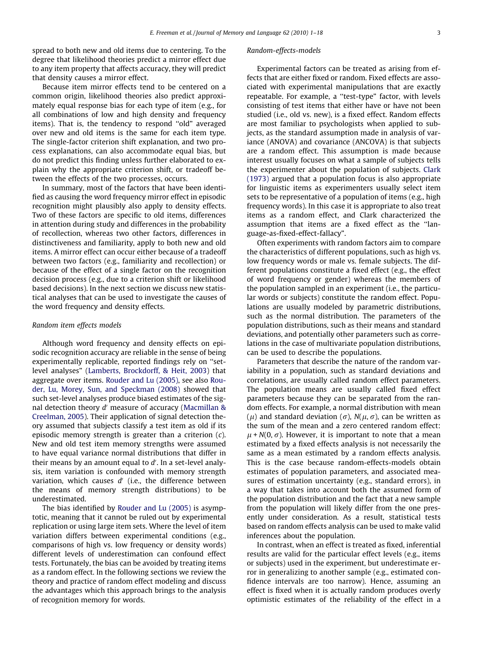spread to both new and old items due to centering. To the degree that likelihood theories predict a mirror effect due to any item property that affects accuracy, they will predict that density causes a mirror effect.

Because item mirror effects tend to be centered on a common origin, likelihood theories also predict approximately equal response bias for each type of item (e.g., for all combinations of low and high density and frequency items). That is, the tendency to respond ''old" averaged over new and old items is the same for each item type. The single-factor criterion shift explanation, and two process explanations, can also accommodate equal bias, but do not predict this finding unless further elaborated to explain why the appropriate criterion shift, or tradeoff between the effects of the two processes, occurs.

In summary, most of the factors that have been identified as causing the word frequency mirror effect in episodic recognition might plausibly also apply to density effects. Two of these factors are specific to old items, differences in attention during study and differences in the probability of recollection, whereas two other factors, differences in distinctiveness and familiarity, apply to both new and old items. A mirror effect can occur either because of a tradeoff between two factors (e.g., familiarity and recollection) or because of the effect of a single factor on the recognition decision process (e.g., due to a criterion shift or likelihood based decisions). In the next section we discuss new statistical analyses that can be used to investigate the causes of the word frequency and density effects.

#### Random item effects models

Although word frequency and density effects on episodic recognition accuracy are reliable in the sense of being experimentally replicable, reported findings rely on ''setlevel analyses" ([Lamberts, Brockdorff, & Heit, 2003](#page-16-0)) that aggregate over items. [Rouder and Lu \(2005\)](#page-17-0), see also [Rou](#page-17-0)[der, Lu, Morey, Sun, and Speckman \(2008\)](#page-17-0) showed that such set-level analyses produce biased estimates of the signal detection theory  $d'$  measure of accuracy (Macmillan  $\&$ [Creelman, 2005](#page-16-0)). Their application of signal detection theory assumed that subjects classify a test item as old if its episodic memory strength is greater than a criterion (c). New and old test item memory strengths were assumed to have equal variance normal distributions that differ in their means by an amount equal to  $d'$ . In a set-level analysis, item variation is confounded with memory strength variation, which causes  $d'$  (i.e., the difference between the means of memory strength distributions) to be underestimated.

The bias identified by [Rouder and Lu \(2005\)](#page-17-0) is asymptotic, meaning that it cannot be ruled out by experimental replication or using large item sets. Where the level of item variation differs between experimental conditions (e.g., comparisons of high vs. low frequency or density words) different levels of underestimation can confound effect tests. Fortunately, the bias can be avoided by treating items as a random effect. In the following sections we review the theory and practice of random effect modeling and discuss the advantages which this approach brings to the analysis of recognition memory for words.

# Random-effects-models

Experimental factors can be treated as arising from effects that are either fixed or random. Fixed effects are associated with experimental manipulations that are exactly repeatable. For example, a ''test-type" factor, with levels consisting of test items that either have or have not been studied (i.e., old vs. new), is a fixed effect. Random effects are most familiar to psychologists when applied to subjects, as the standard assumption made in analysis of variance (ANOVA) and covariance (ANCOVA) is that subjects are a random effect. This assumption is made because interest usually focuses on what a sample of subjects tells the experimenter about the population of subjects. [Clark](#page-16-0) [\(1973\)](#page-16-0) argued that a population focus is also appropriate for linguistic items as experimenters usually select item sets to be representative of a population of items (e.g., high frequency words). In this case it is appropriate to also treat items as a random effect, and Clark characterized the assumption that items are a fixed effect as the ''language-as-fixed-effect-fallacy".

Often experiments with random factors aim to compare the characteristics of different populations, such as high vs. low frequency words or male vs. female subjects. The different populations constitute a fixed effect (e.g., the effect of word frequency or gender) whereas the members of the population sampled in an experiment (i.e., the particular words or subjects) constitute the random effect. Populations are usually modeled by parametric distributions, such as the normal distribution. The parameters of the population distributions, such as their means and standard deviations, and potentially other parameters such as correlations in the case of multivariate population distributions, can be used to describe the populations.

Parameters that describe the nature of the random variability in a population, such as standard deviations and correlations, are usually called random effect parameters. The population means are usually called fixed effect parameters because they can be separated from the random effects. For example, a normal distribution with mean ( $\mu$ ) and standard deviation ( $\sigma$ ), N( $\mu$ ,  $\sigma$ ), can be written as the sum of the mean and a zero centered random effect:  $\mu$  + N(0,  $\sigma$ ). However, it is important to note that a mean estimated by a fixed effects analysis is not necessarily the same as a mean estimated by a random effects analysis. This is the case because random-effects-models obtain estimates of population parameters, and associated measures of estimation uncertainty (e.g., standard errors), in a way that takes into account both the assumed form of the population distribution and the fact that a new sample from the population will likely differ from the one presently under consideration. As a result, statistical tests based on random effects analysis can be used to make valid inferences about the population.

In contrast, when an effect is treated as fixed, inferential results are valid for the particular effect levels (e.g., items or subjects) used in the experiment, but underestimate error in generalizing to another sample (e.g., estimated confidence intervals are too narrow). Hence, assuming an effect is fixed when it is actually random produces overly optimistic estimates of the reliability of the effect in a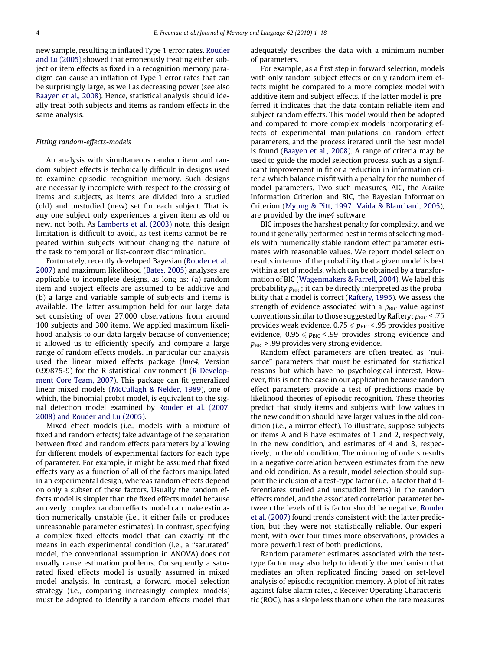new sample, resulting in inflated Type 1 error rates. [Rouder](#page-17-0) [and Lu \(2005\)](#page-17-0) showed that erroneously treating either subject or item effects as fixed in a recognition memory paradigm can cause an inflation of Type 1 error rates that can be surprisingly large, as well as decreasing power (see also [Baayen et al., 2008\)](#page-16-0). Hence, statistical analysis should ideally treat both subjects and items as random effects in the same analysis.

#### Fitting random-effects-models

An analysis with simultaneous random item and random subject effects is technically difficult in designs used to examine episodic recognition memory. Such designs are necessarily incomplete with respect to the crossing of items and subjects, as items are divided into a studied (old) and unstudied (new) set for each subject. That is, any one subject only experiences a given item as old or new, not both. As [Lamberts et al. \(2003\)](#page-16-0) note, this design limitation is difficult to avoid, as test items cannot be repeated within subjects without changing the nature of the task to temporal or list-context discrimination.

Fortunately, recently developed Bayesian [\(Rouder et al.,](#page-17-0) [2007](#page-17-0)) and maximum likelihood ([Bates, 2005](#page-16-0)) analyses are applicable to incomplete designs, as long as: (a) random item and subject effects are assumed to be additive and (b) a large and variable sample of subjects and items is available. The latter assumption held for our large data set consisting of over 27,000 observations from around 100 subjects and 300 items. We applied maximum likelihood analysis to our data largely because of convenience; it allowed us to efficiently specify and compare a large range of random effects models. In particular our analysis used the linear mixed effects package (lme4, Version 0.99875-9) for the R statistical environment ([R Develop](#page-16-0)[ment Core Team, 2007\)](#page-16-0). This package can fit generalized linear mixed models [\(McCullagh & Nelder, 1989](#page-16-0)), one of which, the binomial probit model, is equivalent to the signal detection model examined by [Rouder et al. \(2007,](#page-17-0) [2008\) and Rouder and Lu \(2005\)](#page-17-0).

Mixed effect models (i.e., models with a mixture of fixed and random effects) take advantage of the separation between fixed and random effects parameters by allowing for different models of experimental factors for each type of parameter. For example, it might be assumed that fixed effects vary as a function of all of the factors manipulated in an experimental design, whereas random effects depend on only a subset of these factors. Usually the random effects model is simpler than the fixed effects model because an overly complex random effects model can make estimation numerically unstable (i.e., it either fails or produces unreasonable parameter estimates). In contrast, specifying a complex fixed effects model that can exactly fit the means in each experimental condition (i.e., a ''saturated" model, the conventional assumption in ANOVA) does not usually cause estimation problems. Consequently a saturated fixed effects model is usually assumed in mixed model analysis. In contrast, a forward model selection strategy (i.e., comparing increasingly complex models) must be adopted to identify a random effects model that

adequately describes the data with a minimum number of parameters.

For example, as a first step in forward selection, models with only random subject effects or only random item effects might be compared to a more complex model with additive item and subject effects. If the latter model is preferred it indicates that the data contain reliable item and subject random effects. This model would then be adopted and compared to more complex models incorporating effects of experimental manipulations on random effect parameters, and the process iterated until the best model is found ([Baayen et al., 2008](#page-16-0)). A range of criteria may be used to guide the model selection process, such as a significant improvement in fit or a reduction in information criteria which balance misfit with a penalty for the number of model parameters. Two such measures, AIC, the Akaike Information Criterion and BIC, the Bayesian Information Criterion ([Myung & Pitt, 1997; Vaida & Blanchard, 2005\)](#page-16-0), are provided by the *lme4* software.

BIC imposes the harshest penalty for complexity, and we found it generally performed best in terms of selecting models with numerically stable random effect parameter estimates with reasonable values. We report model selection results in terms of the probability that a given model is best within a set of models, which can be obtained by a transformation of BIC ([Wagenmakers & Farrell, 2004\)](#page-17-0). We label this probability  $p_{\text{BIC}}$ ; it can be directly interpreted as the probability that a model is correct ([Raftery, 1995\)](#page-16-0). We assess the strength of evidence associated with a  $p_{\text{BIC}}$  value against conventions similar to those suggested by Raftery:  $p_{\text{BIC}}$  < .75 provides weak evidence,  $0.75 \leq p_{\text{BIC}}$  < .95 provides positive evidence,  $0.95 \leq p_{BIC}$  < .99 provides strong evidence and  $p_{\text{BIC}}$  > .99 provides very strong evidence.

Random effect parameters are often treated as ''nuisance" parameters that must be estimated for statistical reasons but which have no psychological interest. However, this is not the case in our application because random effect parameters provide a test of predictions made by likelihood theories of episodic recognition. These theories predict that study items and subjects with low values in the new condition should have larger values in the old condition (i.e., a mirror effect). To illustrate, suppose subjects or items A and B have estimates of 1 and 2, respectively, in the new condition, and estimates of 4 and 3, respectively, in the old condition. The mirroring of orders results in a negative correlation between estimates from the new and old condition. As a result, model selection should support the inclusion of a test-type factor (i.e., a factor that differentiates studied and unstudied items) in the random effects model, and the associated correlation parameter between the levels of this factor should be negative. [Rouder](#page-17-0) [et al. \(2007\)](#page-17-0) found trends consistent with the latter prediction, but they were not statistically reliable. Our experiment, with over four times more observations, provides a more powerful test of both predictions.

Random parameter estimates associated with the testtype factor may also help to identify the mechanism that mediates an often replicated finding based on set-level analysis of episodic recognition memory. A plot of hit rates against false alarm rates, a Receiver Operating Characteristic (ROC), has a slope less than one when the rate measures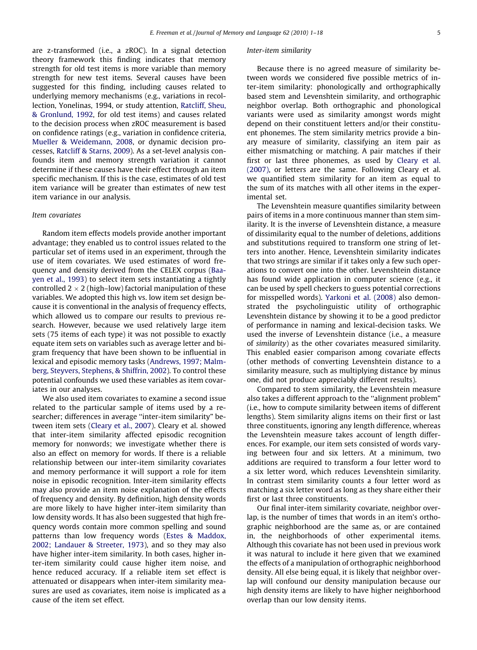are z-transformed (i.e., a zROC). In a signal detection theory framework this finding indicates that memory strength for old test items is more variable than memory strength for new test items. Several causes have been suggested for this finding, including causes related to underlying memory mechanisms (e.g., variations in recollection, Yonelinas, 1994, or study attention, [Ratcliff, Sheu,](#page-16-0) [& Gronlund, 1992](#page-16-0), for old test items) and causes related to the decision process when zROC measurement is based on confidence ratings (e.g., variation in confidence criteria, [Mueller & Weidemann, 2008](#page-16-0), or dynamic decision processes, [Ratcliff & Starns, 2009](#page-16-0)). As a set-level analysis confounds item and memory strength variation it cannot determine if these causes have their effect through an item specific mechanism. If this is the case, estimates of old test item variance will be greater than estimates of new test item variance in our analysis.

# Item covariates

Random item effects models provide another important advantage; they enabled us to control issues related to the particular set of items used in an experiment, through the use of item covariates. We used estimates of word frequency and density derived from the CELEX corpus [\(Baa](#page-16-0)[yen et al., 1993](#page-16-0)) to select item sets instantiating a tightly controlled 2  $\times$  2 (high–low) factorial manipulation of these variables. We adopted this high vs. low item set design because it is conventional in the analysis of frequency effects, which allowed us to compare our results to previous research. However, because we used relatively large item sets (75 items of each type) it was not possible to exactly equate item sets on variables such as average letter and bigram frequency that have been shown to be influential in lexical and episodic memory tasks [\(Andrews, 1997; Malm](#page-16-0)[berg, Steyvers, Stephens, & Shiffrin, 2002](#page-16-0)). To control these potential confounds we used these variables as item covariates in our analyses.

We also used item covariates to examine a second issue related to the particular sample of items used by a researcher; differences in average "inter-item similarity" between item sets ([Cleary et al., 2007\)](#page-16-0). Cleary et al. showed that inter-item similarity affected episodic recognition memory for nonwords; we investigate whether there is also an effect on memory for words. If there is a reliable relationship between our inter-item similarity covariates and memory performance it will support a role for item noise in episodic recognition. Inter-item similarity effects may also provide an item noise explanation of the effects of frequency and density. By definition, high density words are more likely to have higher inter-item similarity than low density words. It has also been suggested that high frequency words contain more common spelling and sound patterns than low frequency words ([Estes & Maddox,](#page-16-0) [2002; Landauer & Streeter, 1973\)](#page-16-0), and so they may also have higher inter-item similarity. In both cases, higher inter-item similarity could cause higher item noise, and hence reduced accuracy. If a reliable item set effect is attenuated or disappears when inter-item similarity measures are used as covariates, item noise is implicated as a cause of the item set effect.

#### Inter-item similarity

Because there is no agreed measure of similarity between words we considered five possible metrics of inter-item similarity: phonologically and orthographically based stem and Levenshtein similarity, and orthographic neighbor overlap. Both orthographic and phonological variants were used as similarity amongst words might depend on their constituent letters and/or their constituent phonemes. The stem similarity metrics provide a binary measure of similarity, classifying an item pair as either mismatching or matching. A pair matches if their first or last three phonemes, as used by [Cleary et al.](#page-16-0) [\(2007\),](#page-16-0) or letters are the same. Following Cleary et al. we quantified stem similarity for an item as equal to the sum of its matches with all other items in the experimental set.

The Levenshtein measure quantifies similarity between pairs of items in a more continuous manner than stem similarity. It is the inverse of Levenshtein distance, a measure of dissimilarity equal to the number of deletions, additions and substitutions required to transform one string of letters into another. Hence, Levenshtein similarity indicates that two strings are similar if it takes only a few such operations to convert one into the other. Levenshtein distance has found wide application in computer science (e.g., it can be used by spell checkers to guess potential corrections for misspelled words). [Yarkoni et al. \(2008\)](#page-17-0) also demonstrated the psycholinguistic utility of orthographic Levenshtein distance by showing it to be a good predictor of performance in naming and lexical-decision tasks. We used the inverse of Levenshtein distance (i.e., a measure of similarity) as the other covariates measured similarity. This enabled easier comparison among covariate effects (other methods of converting Levenshtein distance to a similarity measure, such as multiplying distance by minus one, did not produce appreciably different results).

Compared to stem similarity, the Levenshtein measure also takes a different approach to the ''alignment problem" (i.e., how to compute similarity between items of different lengths). Stem similarity aligns items on their first or last three constituents, ignoring any length difference, whereas the Levenshtein measure takes account of length differences. For example, our item sets consisted of words varying between four and six letters. At a minimum, two additions are required to transform a four letter word to a six letter word, which reduces Levenshtein similarity. In contrast stem similarity counts a four letter word as matching a six letter word as long as they share either their first or last three constituents.

Our final inter-item similarity covariate, neighbor overlap, is the number of times that words in an item's orthographic neighborhood are the same as, or are contained in, the neighborhoods of other experimental items. Although this covariate has not been used in previous work it was natural to include it here given that we examined the effects of a manipulation of orthographic neighborhood density. All else being equal, it is likely that neighbor overlap will confound our density manipulation because our high density items are likely to have higher neighborhood overlap than our low density items.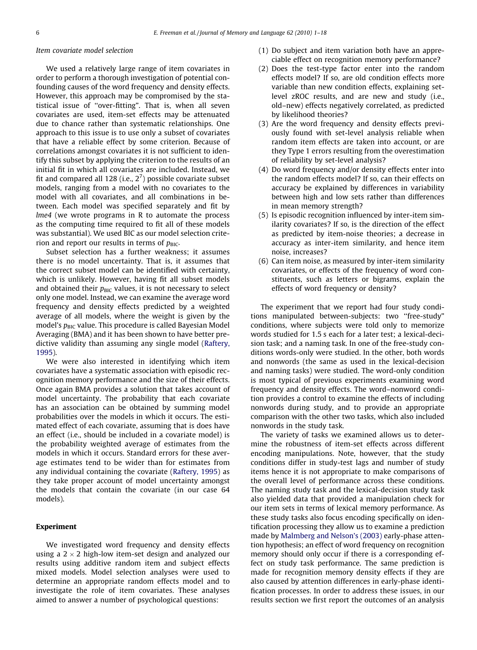# Item covariate model selection

We used a relatively large range of item covariates in order to perform a thorough investigation of potential confounding causes of the word frequency and density effects. However, this approach may be compromised by the statistical issue of ''over-fitting". That is, when all seven covariates are used, item-set effects may be attenuated due to chance rather than systematic relationships. One approach to this issue is to use only a subset of covariates that have a reliable effect by some criterion. Because of correlations amongst covariates it is not sufficient to identify this subset by applying the criterion to the results of an initial fit in which all covariates are included. Instead, we fit and compared all 128 (i.e.,  $2^7$ ) possible covariate subset models, ranging from a model with no covariates to the model with all covariates, and all combinations in between. Each model was specified separately and fit by lme4 (we wrote programs in R to automate the process as the computing time required to fit all of these models was substantial). We used BIC as our model selection criterion and report our results in terms of  $p_{\text{BIC}}$ .

Subset selection has a further weakness; it assumes there is no model uncertainty. That is, it assumes that the correct subset model can be identified with certainty, which is unlikely. However, having fit all subset models and obtained their  $p_{\text{BIC}}$  values, it is not necessary to select only one model. Instead, we can examine the average word frequency and density effects predicted by a weighted average of all models, where the weight is given by the model's  $p_{\text{BIC}}$  value. This procedure is called Bayesian Model Averaging (BMA) and it has been shown to have better predictive validity than assuming any single model [\(Raftery,](#page-16-0) [1995](#page-16-0)).

We were also interested in identifying which item covariates have a systematic association with episodic recognition memory performance and the size of their effects. Once again BMA provides a solution that takes account of model uncertainty. The probability that each covariate has an association can be obtained by summing model probabilities over the models in which it occurs. The estimated effect of each covariate, assuming that is does have an effect (i.e., should be included in a covariate model) is the probability weighted average of estimates from the models in which it occurs. Standard errors for these average estimates tend to be wider than for estimates from any individual containing the covariate [\(Raftery, 1995](#page-16-0)) as they take proper account of model uncertainty amongst the models that contain the covariate (in our case 64 models).

# Experiment

We investigated word frequency and density effects using a 2  $\times$  2 high-low item-set design and analyzed our results using additive random item and subject effects mixed models. Model selection analyses were used to determine an appropriate random effects model and to investigate the role of item covariates. These analyses aimed to answer a number of psychological questions:

- (1) Do subject and item variation both have an appreciable effect on recognition memory performance?
- (2) Does the test-type factor enter into the random effects model? If so, are old condition effects more variable than new condition effects, explaining setlevel zROC results, and are new and study (i.e., old–new) effects negatively correlated, as predicted by likelihood theories?
- (3) Are the word frequency and density effects previously found with set-level analysis reliable when random item effects are taken into account, or are they Type 1 errors resulting from the overestimation of reliability by set-level analysis?
- (4) Do word frequency and/or density effects enter into the random effects model? If so, can their effects on accuracy be explained by differences in variability between high and low sets rather than differences in mean memory strength?
- (5) Is episodic recognition influenced by inter-item similarity covariates? If so, is the direction of the effect as predicted by item-noise theories; a decrease in accuracy as inter-item similarity, and hence item noise, increases?
- (6) Can item noise, as measured by inter-item similarity covariates, or effects of the frequency of word constituents, such as letters or bigrams, explain the effects of word frequency or density?

The experiment that we report had four study conditions manipulated between-subjects: two ''free-study" conditions, where subjects were told only to memorize words studied for 1.5 s each for a later test; a lexical-decision task; and a naming task. In one of the free-study conditions words-only were studied. In the other, both words and nonwords (the same as used in the lexical-decision and naming tasks) were studied. The word-only condition is most typical of previous experiments examining word frequency and density effects. The word–nonword condition provides a control to examine the effects of including nonwords during study, and to provide an appropriate comparison with the other two tasks, which also included nonwords in the study task.

The variety of tasks we examined allows us to determine the robustness of item-set effects across different encoding manipulations. Note, however, that the study conditions differ in study-test lags and number of study items hence it is not appropriate to make comparisons of the overall level of performance across these conditions. The naming study task and the lexical-decision study task also yielded data that provided a manipulation check for our item sets in terms of lexical memory performance. As these study tasks also focus encoding specifically on identification processing they allow us to examine a prediction made by [Malmberg and Nelson's \(2003\)](#page-16-0) early-phase attention hypothesis; an effect of word frequency on recognition memory should only occur if there is a corresponding effect on study task performance. The same prediction is made for recognition memory density effects if they are also caused by attention differences in early-phase identification processes. In order to address these issues, in our results section we first report the outcomes of an analysis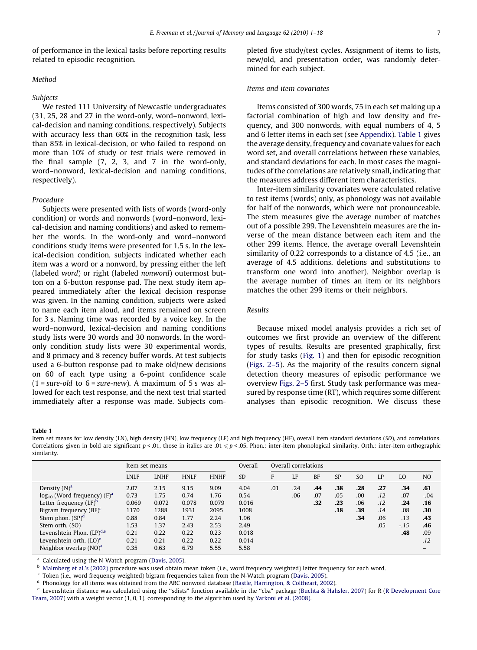<span id="page-6-0"></span>of performance in the lexical tasks before reporting results related to episodic recognition.

#### Method

#### Subjects

We tested 111 University of Newcastle undergraduates (31, 25, 28 and 27 in the word-only, word–nonword, lexical-decision and naming conditions, respectively). Subjects with accuracy less than 60% in the recognition task, less than 85% in lexical-decision, or who failed to respond on more than 10% of study or test trials were removed in the final sample (7, 2, 3, and 7 in the word-only, word–nonword, lexical-decision and naming conditions, respectively).

## Procedure

Subjects were presented with lists of words (word-only condition) or words and nonwords (word–nonword, lexical-decision and naming conditions) and asked to remember the words. In the word-only and word–nonword conditions study items were presented for 1.5 s. In the lexical-decision condition, subjects indicated whether each item was a word or a nonword, by pressing either the left (labeled word) or right (labeled nonword) outermost button on a 6-button response pad. The next study item appeared immediately after the lexical decision response was given. In the naming condition, subjects were asked to name each item aloud, and items remained on screen for 3 s. Naming time was recorded by a voice key. In the word–nonword, lexical-decision and naming conditions study lists were 30 words and 30 nonwords. In the wordonly condition study lists were 30 experimental words, and 8 primacy and 8 recency buffer words. At test subjects used a 6-button response pad to make old/new decisions on 60 of each type using a 6-point confidence scale  $(1 = sure-old to 6 = sure-new)$ . A maximum of 5 s was allowed for each test response, and the next test trial started immediately after a response was made. Subjects completed five study/test cycles. Assignment of items to lists, new/old, and presentation order, was randomly determined for each subject.

#### Items and item covariates

Items consisted of 300 words, 75 in each set making up a factorial combination of high and low density and frequency, and 300 nonwords, with equal numbers of 4, 5 and 6 letter items in each set (see Appendix). Table 1 gives the average density, frequency and covariate values for each word set, and overall correlations between these variables, and standard deviations for each. In most cases the magnitudes of the correlations are relatively small, indicating that the measures address different item characteristics.

Inter-item similarity covariates were calculated relative to test items (words) only, as phonology was not available for half of the nonwords, which were not pronounceable. The stem measures give the average number of matches out of a possible 299. The Levenshtein measures are the inverse of the mean distance between each item and the other 299 items. Hence, the average overall Levenshtein similarity of 0.22 corresponds to a distance of 4.5 (i.e., an average of 4.5 additions, deletions and substitutions to transform one word into another). Neighbor overlap is the average number of times an item or its neighbors matches the other 299 items or their neighbors.

#### Results

Because mixed model analysis provides a rich set of outcomes we first provide an overview of the different types of results. Results are presented graphically, first for study tasks [\(Fig. 1](#page-7-0)) and then for episodic recognition [\(Figs. 2–5](#page-8-0)). As the majority of the results concern signal detection theory measures of episodic performance we overview [Figs. 2–5](#page-8-0) first. Study task performance was measured by response time (RT), which requires some different analyses than episodic recognition. We discuss these

#### Table 1

Item set means for low density (LN), high density (HN), low frequency (LF) and high frequency (HF), overall item standard deviations (SD), and correlations. Correlations given in bold are significant  $p < .01$ , those in italics are  $.01 \le p < .05$ . Phon.: inter-item phonological similarity. Orth.: inter-item orthographic similarity.

|                                     | Item set means |             |             |             | Overall   | Overall correlations |     |           |           |     |     |        |                |
|-------------------------------------|----------------|-------------|-------------|-------------|-----------|----------------------|-----|-----------|-----------|-----|-----|--------|----------------|
|                                     | <b>LNLF</b>    | <b>LNHF</b> | <b>HNLF</b> | <b>HNHF</b> | <b>SD</b> | F                    | LF  | <b>BF</b> | <b>SP</b> | SO. | LP  | LO     | N <sub>O</sub> |
| Density $(N)^a$                     | 2.07           | 2.15        | 9.15        | 9.09        | 4.04      | .01                  | .24 | .44       | .38       | .28 | .27 | .34    | .61            |
| $log_{10}$ (Word frequency) $(F)^a$ | 0.73           | 1.75        | 0.74        | 1.76        | 0.54      |                      | .06 | .07       | .05       | .00 | .12 | .07    | $-.04$         |
| Letter frequency $(LF)^b$           | 0.069          | 0.072       | 0.078       | 0.079       | 0.016     |                      |     | .32       | .23       | .06 | .12 | .24    | .16            |
| Bigram frequency $(BF)^c$           | 1170           | 1288        | 1931        | 2095        | 1008      |                      |     |           | .18       | .39 | .14 | .08    | .30            |
| Stem phon. $(SP)^d$                 | 0.88           | 0.84        | 1.77        | 2.24        | 1.96      |                      |     |           |           | .34 | .06 | .13    | .43            |
| Stem orth. (SO)                     | 1.53           | 1.37        | 2.43        | 2.53        | 2.49      |                      |     |           |           |     | .05 | $-.15$ | .46            |
| Levenshtein Phon. $(LP)^{d,e}$      | 0.21           | 0.22        | 0.22        | 0.23        | 0.018     |                      |     |           |           |     |     | .48    | .09            |
| Levenshtein orth. $(LO)^e$          | 0.21           | 0.21        | 0.22        | 0.22        | 0.014     |                      |     |           |           |     |     |        | .12            |
| Neighbor overlap $(NO)^a$           | 0.35           | 0.63        | 6.79        | 5.55        | 5.58      |                      |     |           |           |     |     |        |                |
|                                     |                |             |             |             |           |                      |     |           |           |     |     |        |                |

Calculated using the N-Watch program ([Davis, 2005](#page-16-0)).

<sup>b</sup> [Malmberg et al.'s \(2002\)](#page-16-0) procedure was used obtain mean token (i.e., word frequency weighted) letter frequency for each word.

Token (i.e., word frequency weighted) bigram frequencies taken from the N-Watch program ([Davis, 2005](#page-16-0)).

<sup>d</sup> Phonology for all items was obtained from the ARC nonword database [\(Rastle, Harrington, & Coltheart, 2002](#page-16-0)).

<sup>e</sup> Levenshtein distance was calculated using the ''sdists" function available in the ''cba" package ([Buchta & Hahsler, 2007\)](#page-16-0) for R [\(R Development Core](#page-16-0) [Team, 2007](#page-16-0)) with a weight vector (1, 0, 1), corresponding to the algorithm used by [Yarkoni et al. \(2008\)](#page-17-0).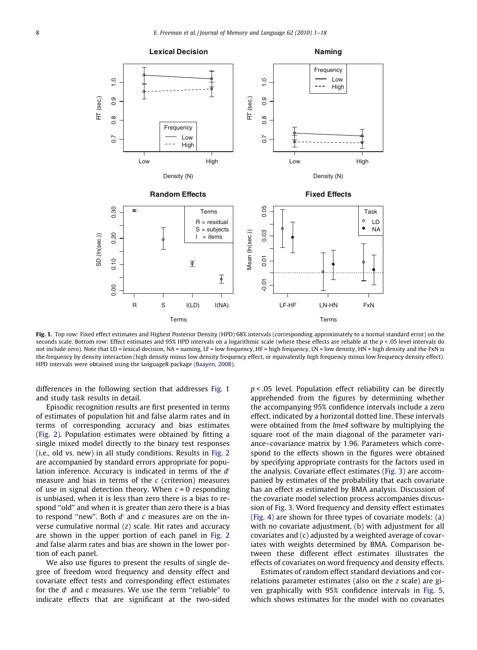<span id="page-7-0"></span>

Fig. 1. Top row: Fixed effect estimates and Highest Posterior Density (HPD) 68% intervals (corresponding approximately to a normal standard error) on the seconds scale. Bottom row: Effect estimates and 95% HPD intervals on a logarithmic scale (where these effects are reliable at the  $p < .05$  level intervals do not include zero). Note that LD = lexical decision, NA = naming, LF = low frequency, HF = high frequency, LN = low density, HN = high density and the FxN is the frequency by density interaction (high density minus low density frequency effect, or equivalently high frequency minus low frequency density effect). HPD intervals were obtained using the languageR package ([Baayen, 2008](#page-16-0)).

differences in the following section that addresses Fig. 1 and study task results in detail.

Episodic recognition results are first presented in terms of estimates of population hit and false alarm rates and in terms of corresponding accuracy and bias estimates [\(Fig. 2\)](#page-8-0). Population estimates were obtained by fitting a single mixed model directly to the binary test responses (i.e., old vs. new) in all study conditions. Results in [Fig. 2](#page-8-0) are accompanied by standard errors appropriate for population inference. Accuracy is indicated in terms of the  $d'$ measure and bias in terms of the  $c$  (criterion) measures of use in signal detection theory. When  $c = 0$  responding is unbiased, when it is less than zero there is a bias to respond "old" and when it is greater than zero there is a bias to respond "new". Both  $d'$  and c measures are on the inverse cumulative normal  $(z)$  scale. Hit rates and accuracy are shown in the upper portion of each panel in [Fig. 2](#page-8-0) and false alarm rates and bias are shown in the lower portion of each panel.

We also use figures to present the results of single degree of freedom word frequency and density effect and covariate effect tests and corresponding effect estimates for the  $d'$  and  $c$  measures. We use the term "reliable" to indicate effects that are significant at the two-sided  $p$  < .05 level. Population effect reliability can be directly apprehended from the figures by determining whether the accompanying 95% confidence intervals include a zero effect, indicated by a horizontal dotted line. These intervals were obtained from the *lme4* software by multiplying the square root of the main diagonal of the parameter variance–covariance matrix by 1.96. Parameters which correspond to the effects shown in the figures were obtained by specifying appropriate contrasts for the factors used in the analysis. Covariate effect estimates [\(Fig. 3\)](#page-9-0) are accompanied by estimates of the probability that each covariate has an effect as estimated by BMA analysis. Discussion of the covariate model selection process accompanies discussion of [Fig. 3.](#page-9-0) Word frequency and density effect estimates [\(Fig. 4\)](#page-10-0) are shown for three types of covariate models: (a) with no covariate adjustment, (b) with adjustment for all covariates and (c) adjusted by a weighted average of covariates with weights determined by BMA. Comparison between these different effect estimates illustrates the effects of covariates on word frequency and density effects.

Estimates of random effect standard deviations and correlations parameter estimates (also on the z scale) are given graphically with 95% confidence intervals in [Fig. 5,](#page-11-0) which shows estimates for the model with no covariates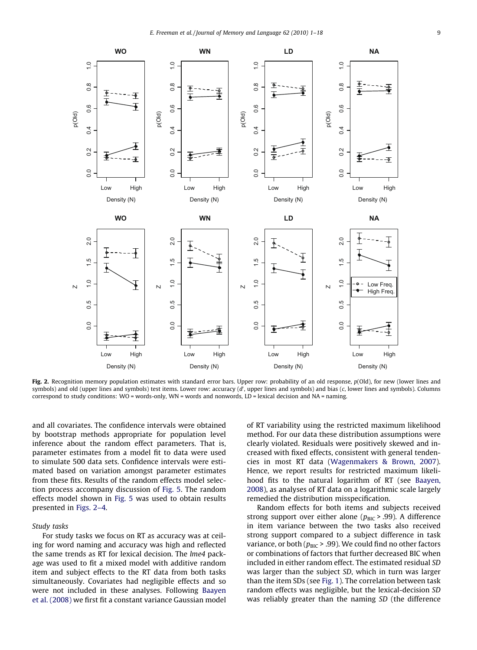<span id="page-8-0"></span>

Fig. 2. Recognition memory population estimates with standard error bars. Upper row: probability of an old response,  $p(Old)$ , for new (lower lines and symbols) and old (upper lines and symbols) test items. Lower row: accuracy (d', upper lines and symbols) and bias (c, lower lines and symbols). Columns correspond to study conditions: WO = words-only, WN = words and nonwords, LD = lexical decision and NA = naming.

and all covariates. The confidence intervals were obtained by bootstrap methods appropriate for population level inference about the random effect parameters. That is, parameter estimates from a model fit to data were used to simulate 500 data sets. Confidence intervals were estimated based on variation amongst parameter estimates from these fits. Results of the random effects model selection process accompany discussion of [Fig. 5](#page-11-0). The random effects model shown in [Fig. 5](#page-11-0) was used to obtain results presented in Figs. 2–4.

# Study tasks

For study tasks we focus on RT as accuracy was at ceiling for word naming and accuracy was high and reflected the same trends as RT for lexical decision. The lme4 package was used to fit a mixed model with additive random item and subject effects to the RT data from both tasks simultaneously. Covariates had negligible effects and so were not included in these analyses. Following [Baayen](#page-16-0) [et al. \(2008\)](#page-16-0) we first fit a constant variance Gaussian model

of RT variability using the restricted maximum likelihood method. For our data these distribution assumptions were clearly violated. Residuals were positively skewed and increased with fixed effects, consistent with general tendencies in most RT data [\(Wagenmakers & Brown, 2007](#page-17-0)). Hence, we report results for restricted maximum likelihood fits to the natural logarithm of RT (see [Baayen,](#page-16-0) [2008\)](#page-16-0), as analyses of RT data on a logarithmic scale largely remedied the distribution misspecification.

Random effects for both items and subjects received strong support over either alone ( $p_{\text{BIC}}$  > .99). A difference in item variance between the two tasks also received strong support compared to a subject difference in task variance, or both ( $p_{\text{BIC}}$  > .99). We could find no other factors or combinations of factors that further decreased BIC when included in either random effect. The estimated residual SD was larger than the subject SD, which in turn was larger than the item SDs (see [Fig. 1](#page-7-0)). The correlation between task random effects was negligible, but the lexical-decision SD was reliably greater than the naming SD (the difference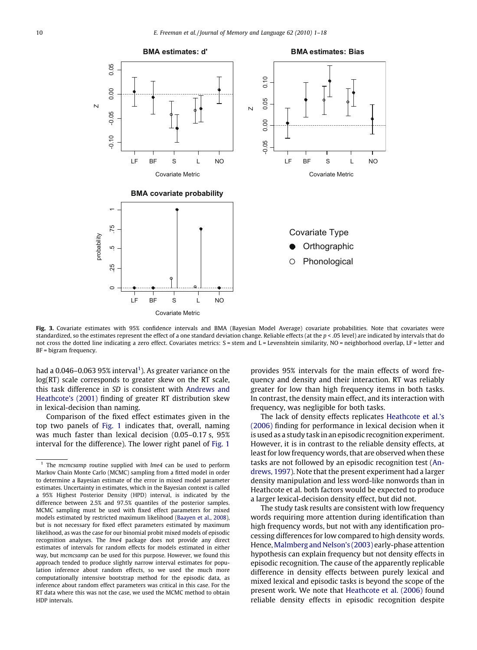<span id="page-9-0"></span>

Fig. 3. Covariate estimates with 95% confidence intervals and BMA (Bayesian Model Average) covariate probabilities. Note that covariates were standardized, so the estimates represent the effect of a one standard deviation change. Reliable effects (at the p < .05 level) are indicated by intervals that do not cross the dotted line indicating a zero effect. Covariates metrics: S = stem and L = Levenshtein similarity, NO = neighborhood overlap, LF = letter and BF = bigram frequency.

had a  $0.046$ -0.063 95% interval<sup>1</sup>). As greater variance on the log(RT) scale corresponds to greater skew on the RT scale, this task difference in SD is consistent with [Andrews and](#page-16-0) [Heathcote's \(2001\)](#page-16-0) finding of greater RT distribution skew in lexical-decision than naming.

Comparison of the fixed effect estimates given in the top two panels of [Fig. 1](#page-7-0) indicates that, overall, naming was much faster than lexical decision (0.05–0.17 s, 95% interval for the difference). The lower right panel of [Fig. 1](#page-7-0)

provides 95% intervals for the main effects of word frequency and density and their interaction. RT was reliably greater for low than high frequency items in both tasks. In contrast, the density main effect, and its interaction with frequency, was negligible for both tasks.

The lack of density effects replicates [Heathcote et al.'s](#page-16-0) [\(2006\)](#page-16-0) finding for performance in lexical decision when it is used as a study task in an episodic recognition experiment. However, it is in contrast to the reliable density effects, at least for low frequency words, that are observed when these tasks are not followed by an episodic recognition test ([An](#page-16-0)[drews, 1997\)](#page-16-0). Note that the present experiment had a larger density manipulation and less word-like nonwords than in Heathcote et al. both factors would be expected to produce a larger lexical-decision density effect, but did not.

The study task results are consistent with low frequency words requiring more attention during identification than high frequency words, but not with any identification processing differences for low compared to high density words. Hence,[Malmberg and Nelson's \(2003\)](#page-16-0) early-phase attention hypothesis can explain frequency but not density effects in episodic recognition. The cause of the apparently replicable difference in density effects between purely lexical and mixed lexical and episodic tasks is beyond the scope of the present work. We note that [Heathcote et al. \(2006\)](#page-16-0) found reliable density effects in episodic recognition despite

The mcmcsamp routine supplied with lme4 can be used to perform Markov Chain Monte Carlo (MCMC) sampling from a fitted model in order to determine a Bayesian estimate of the error in mixed model parameter estimates. Uncertainty in estimates, which in the Bayesian context is called a 95% Highest Posterior Density (HPD) interval, is indicated by the difference between 2.5% and 97.5% quantiles of the posterior samples. MCMC sampling must be used with fixed effect parameters for mixed models estimated by restricted maximum likelihood [\(Baayen et al., 2008\)](#page-16-0), but is not necessary for fixed effect parameters estimated by maximum likelihood, as was the case for our binomial probit mixed models of episodic recognition analyses. The lme4 package does not provide any direct estimates of intervals for random effects for models estimated in either way, but mcmcsamp can be used for this purpose. However, we found this approach tended to produce slightly narrow interval estimates for population inference about random effects, so we used the much more computationally intensive bootstrap method for the episodic data, as inference about random effect parameters was critical in this case. For the RT data where this was not the case, we used the MCMC method to obtain HDP intervals.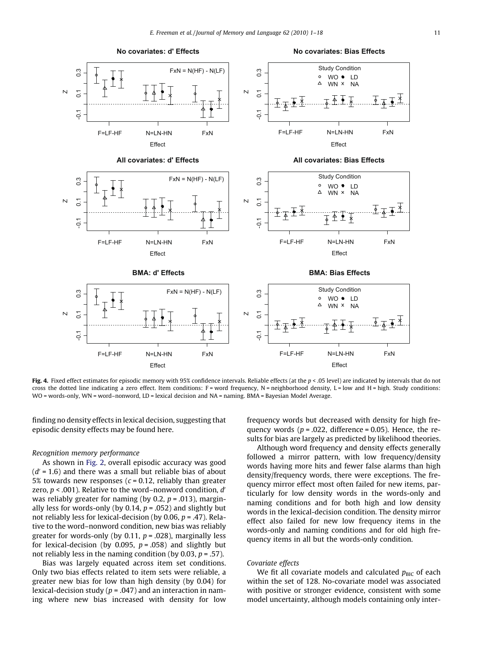<span id="page-10-0"></span>

Fig. 4. Fixed effect estimates for episodic memory with 95% confidence intervals. Reliable effects (at the  $p < .05$  level) are indicated by intervals that do not cross the dotted line indicating a zero effect. Item conditions: F = word frequency, N = neighborhood density, L = low and H = high. Study conditions: WO = words-only, WN = word–nonword, LD = lexical decision and NA = naming. BMA = Bayesian Model Average.

finding no density effects in lexical decision, suggesting that episodic density effects may be found here.

#### Recognition memory performance

As shown in [Fig. 2,](#page-8-0) overall episodic accuracy was good  $(d' = 1.6)$  and there was a small but reliable bias of about 5% towards new responses ( $c = 0.12$ , reliably than greater zero,  $p < .001$ ). Relative to the word–nonword condition,  $d'$ was reliably greater for naming (by 0.2,  $p = .013$ ), marginally less for words-only (by 0.14,  $p = .052$ ) and slightly but not reliably less for lexical-decision (by 0.06,  $p = .47$ ). Relative to the word–nonword condition, new bias was reliably greater for words-only (by 0.11,  $p = .028$ ), marginally less for lexical-decision (by 0.095,  $p = .058$ ) and slightly but not reliably less in the naming condition (by 0.03,  $p = .57$ ).

Bias was largely equated across item set conditions. Only two bias effects related to item sets were reliable, a greater new bias for low than high density (by 0.04) for lexical-decision study ( $p = .047$ ) and an interaction in naming where new bias increased with density for low

frequency words but decreased with density for high frequency words ( $p = .022$ , difference = 0.05). Hence, the results for bias are largely as predicted by likelihood theories.

Although word frequency and density effects generally followed a mirror pattern, with low frequency/density words having more hits and fewer false alarms than high density/frequency words, there were exceptions. The frequency mirror effect most often failed for new items, particularly for low density words in the words-only and naming conditions and for both high and low density words in the lexical-decision condition. The density mirror effect also failed for new low frequency items in the words-only and naming conditions and for old high frequency items in all but the words-only condition.

#### Covariate effects

We fit all covariate models and calculated  $p_{\text{BIC}}$  of each within the set of 128. No-covariate model was associated with positive or stronger evidence, consistent with some model uncertainty, although models containing only inter-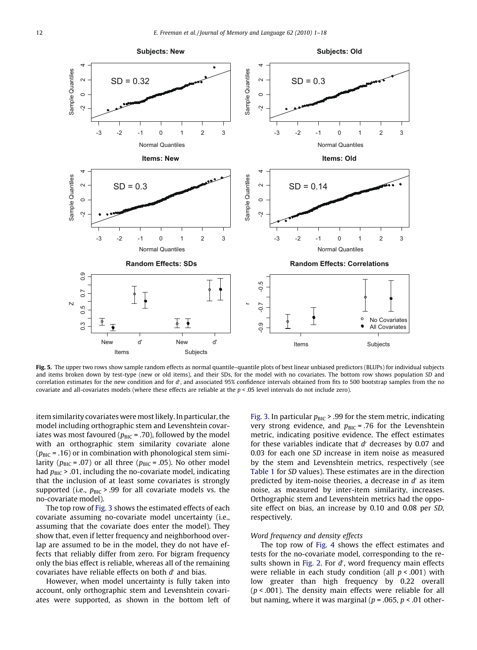<span id="page-11-0"></span>![](_page_11_Figure_1.jpeg)

Fig. 5. The upper two rows show sample random effects as normal quantile-quantile plots of best linear unbiased predictors (BLUPs) for individual subjects and items broken down by test-type (new or old items), and their SDs, for the model with no covariates. The bottom row shows population SD and correlation estimates for the new condition and for d', and associated 95% confidence intervals obtained from fits to 500 bootstrap samples from the no covariate and all-covariates models (where these effects are reliable at the  $p < 0.05$  level intervals do not include zero).

item similarity covariates were most likely. In particular, the model including orthographic stem and Levenshtein covariates was most favoured ( $p_{\text{BIC}}$  = .70), followed by the model with an orthographic stem similarity covariate alone ( $p_{BIC}$  = .16) or in combination with phonological stem similarity ( $p_{\text{BIC}}$  = .07) or all three ( $p_{\text{BIC}}$  = .05). No other model had  $p_{\text{BIC}}$  > .01, including the no-covariate model, indicating that the inclusion of at least some covariates is strongly supported (i.e.,  $p_{BIC}$  > .99 for all covariate models vs. the no-covariate model).

The top row of [Fig. 3](#page-9-0) shows the estimated effects of each covariate assuming no-covariate model uncertainty (i.e., assuming that the covariate does enter the model). They show that, even if letter frequency and neighborhood overlap are assumed to be in the model, they do not have effects that reliably differ from zero. For bigram frequency only the bias effect is reliable, whereas all of the remaining covariates have reliable effects on both  $d'$  and bias.

However, when model uncertainty is fully taken into account, only orthographic stem and Levenshtein covariates were supported, as shown in the bottom left of [Fig. 3.](#page-9-0) In particular  $p_{BIC}$  > .99 for the stem metric, indicating very strong evidence, and  $p_{BIC}$  = .76 for the Levenshtein metric, indicating positive evidence. The effect estimates for these variables indicate that  $d'$  decreases by 0.07 and 0.03 for each one SD increase in item noise as measured by the stem and Levenshtein metrics, respectively (see [Table 1](#page-6-0) for SD values). These estimates are in the direction predicted by item-noise theories, a decrease in  $d'$  as item noise, as measured by inter-item similarity, increases. Orthographic stem and Levenshtein metrics had the opposite effect on bias, an increase by 0.10 and 0.08 per SD, respectively.

# Word frequency and density effects

The top row of [Fig. 4](#page-10-0) shows the effect estimates and tests for the no-covariate model, corresponding to the re-sults shown in [Fig. 2](#page-8-0). For  $d'$ , word frequency main effects were reliable in each study condition (all  $p < .001$ ) with low greater than high frequency by 0.22 overall  $(p < .001)$ . The density main effects were reliable for all but naming, where it was marginal ( $p = .065$ ,  $p < .01$  other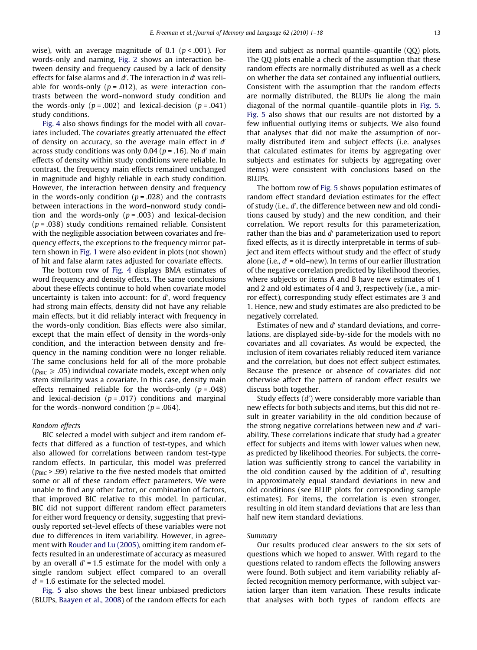wise), with an average magnitude of 0.1 ( $p < .001$ ). For words-only and naming, [Fig. 2](#page-8-0) shows an interaction between density and frequency caused by a lack of density effects for false alarms and d'. The interaction in d' was reliable for words-only ( $p = .012$ ), as were interaction contrasts between the word–nonword study condition and the words-only ( $p = .002$ ) and lexical-decision ( $p = .041$ ) study conditions.

[Fig. 4](#page-10-0) also shows findings for the model with all covariates included. The covariates greatly attenuated the effect of density on accuracy, so the average main effect in  $d'$ across study conditions was only 0.04 ( $p = .16$ ). No d' main effects of density within study conditions were reliable. In contrast, the frequency main effects remained unchanged in magnitude and highly reliable in each study condition. However, the interaction between density and frequency in the words-only condition ( $p = .028$ ) and the contrasts between interactions in the word–nonword study condition and the words-only  $(p = .003)$  and lexical-decision  $(p = .038)$  study conditions remained reliable. Consistent with the negligible association between covariates and frequency effects, the exceptions to the frequency mirror pattern shown in [Fig. 1](#page-7-0) were also evident in plots (not shown) of hit and false alarm rates adjusted for covariate effects.

The bottom row of [Fig. 4](#page-10-0) displays BMA estimates of word frequency and density effects. The same conclusions about these effects continue to hold when covariate model uncertainty is taken into account: for  $d'$ , word frequency had strong main effects, density did not have any reliable main effects, but it did reliably interact with frequency in the words-only condition. Bias effects were also similar, except that the main effect of density in the words-only condition, and the interaction between density and frequency in the naming condition were no longer reliable. The same conclusions held for all of the more probable  $(p_{BIC} \ge .05)$  individual covariate models, except when only stem similarity was a covariate. In this case, density main effects remained reliable for the words-only  $(p=.048)$ and lexical-decision ( $p = .017$ ) conditions and marginal for the words–nonword condition ( $p = .064$ ).

## Random effects

BIC selected a model with subject and item random effects that differed as a function of test-types, and which also allowed for correlations between random test-type random effects. In particular, this model was preferred  $(p_{\text{BIC}} > .99)$  relative to the five nested models that omitted some or all of these random effect parameters. We were unable to find any other factor, or combination of factors, that improved BIC relative to this model. In particular, BIC did not support different random effect parameters for either word frequency or density, suggesting that previously reported set-level effects of these variables were not due to differences in item variability. However, in agreement with [Rouder and Lu \(2005\),](#page-17-0) omitting item random effects resulted in an underestimate of accuracy as measured by an overall  $d' = 1.5$  estimate for the model with only a single random subject effect compared to an overall  $d'$  = 1.6 estimate for the selected model.

[Fig. 5](#page-11-0) also shows the best linear unbiased predictors (BLUPs, [Baayen et al., 2008\)](#page-16-0) of the random effects for each item and subject as normal quantile–quantile (QQ) plots. The QQ plots enable a check of the assumption that these random effects are normally distributed as well as a check on whether the data set contained any influential outliers. Consistent with the assumption that the random effects are normally distributed, the BLUPs lie along the main diagonal of the normal quantile–quantile plots in [Fig. 5](#page-11-0). [Fig. 5](#page-11-0) also shows that our results are not distorted by a few influential outlying items or subjects. We also found that analyses that did not make the assumption of normally distributed item and subject effects (i.e. analyses that calculated estimates for items by aggregating over subjects and estimates for subjects by aggregating over items) were consistent with conclusions based on the BLUPs.

The bottom row of [Fig. 5](#page-11-0) shows population estimates of random effect standard deviation estimates for the effect of study (i.e.,  $d'$ , the difference between new and old conditions caused by study) and the new condition, and their correlation. We report results for this parameterization, rather than the bias and  $d'$  parameterization used to report fixed effects, as it is directly interpretable in terms of subject and item effects without study and the effect of study alone (i.e.,  $d'$  = old–new). In terms of our earlier illustration of the negative correlation predicted by likelihood theories, where subjects or items A and B have new estimates of 1 and 2 and old estimates of 4 and 3, respectively (i.e., a mirror effect), corresponding study effect estimates are 3 and 1. Hence, new and study estimates are also predicted to be negatively correlated.

Estimates of new and  $d'$  standard deviations, and correlations, are displayed side-by-side for the models with no covariates and all covariates. As would be expected, the inclusion of item covariates reliably reduced item variance and the correlation, but does not effect subject estimates. Because the presence or absence of covariates did not otherwise affect the pattern of random effect results we discuss both together.

Study effects  $(d')$  were considerably more variable than new effects for both subjects and items, but this did not result in greater variability in the old condition because of the strong negative correlations between new and  $d'$  variability. These correlations indicate that study had a greater effect for subjects and items with lower values when new, as predicted by likelihood theories. For subjects, the correlation was sufficiently strong to cancel the variability in the old condition caused by the addition of  $d'$ , resulting in approximately equal standard deviations in new and old conditions (see BLUP plots for corresponding sample estimates). For items, the correlation is even stronger, resulting in old item standard deviations that are less than half new item standard deviations.

# Summary

Our results produced clear answers to the six sets of questions which we hoped to answer. With regard to the questions related to random effects the following answers were found. Both subject and item variability reliably affected recognition memory performance, with subject variation larger than item variation. These results indicate that analyses with both types of random effects are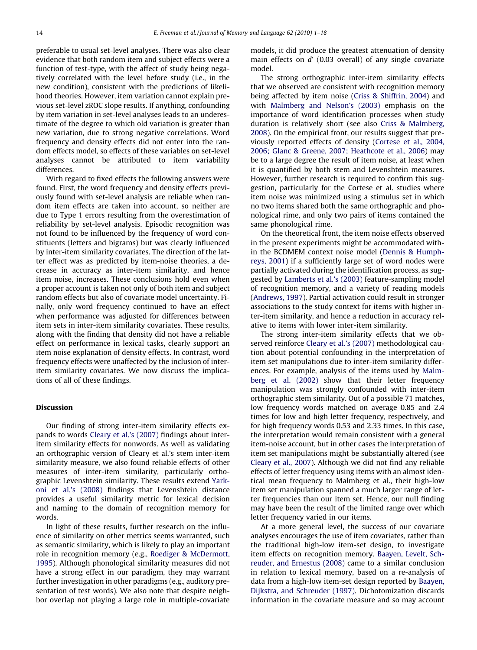preferable to usual set-level analyses. There was also clear evidence that both random item and subject effects were a function of test-type, with the affect of study being negatively correlated with the level before study (i.e., in the new condition), consistent with the predictions of likelihood theories. However, item variation cannot explain previous set-level zROC slope results. If anything, confounding by item variation in set-level analyses leads to an underestimate of the degree to which old variation is greater than new variation, due to strong negative correlations. Word frequency and density effects did not enter into the random effects model, so effects of these variables on set-level analyses cannot be attributed to item variability differences.

With regard to fixed effects the following answers were found. First, the word frequency and density effects previously found with set-level analysis are reliable when random item effects are taken into account, so neither are due to Type 1 errors resulting from the overestimation of reliability by set-level analysis. Episodic recognition was not found to be influenced by the frequency of word constituents (letters and bigrams) but was clearly influenced by inter-item similarity covariates. The direction of the latter effect was as predicted by item-noise theories, a decrease in accuracy as inter-item similarity, and hence item noise, increases. These conclusions hold even when a proper account is taken not only of both item and subject random effects but also of covariate model uncertainty. Finally, only word frequency continued to have an effect when performance was adjusted for differences between item sets in inter-item similarity covariates. These results, along with the finding that density did not have a reliable effect on performance in lexical tasks, clearly support an item noise explanation of density effects. In contrast, word frequency effects were unaffected by the inclusion of interitem similarity covariates. We now discuss the implications of all of these findings.

#### Discussion

Our finding of strong inter-item similarity effects expands to words [Cleary et al.'s \(2007\)](#page-16-0) findings about interitem similarity effects for nonwords. As well as validating an orthographic version of Cleary et al.'s stem inter-item similarity measure, we also found reliable effects of other measures of inter-item similarity, particularly orthographic Levenshtein similarity. These results extend [Yark](#page-17-0)[oni et al.'s \(2008\)](#page-17-0) findings that Levenshtein distance provides a useful similarity metric for lexical decision and naming to the domain of recognition memory for words.

In light of these results, further research on the influence of similarity on other metrics seems warranted, such as semantic similarity, which is likely to play an important role in recognition memory (e.g., [Roediger & McDermott,](#page-16-0) [1995](#page-16-0)). Although phonological similarity measures did not have a strong effect in our paradigm, they may warrant further investigation in other paradigms (e.g., auditory presentation of test words). We also note that despite neighbor overlap not playing a large role in multiple-covariate

models, it did produce the greatest attenuation of density main effects on  $d'$  (0.03 overall) of any single covariate model.

The strong orthographic inter-item similarity effects that we observed are consistent with recognition memory being affected by item noise [\(Criss & Shiffrin, 2004\)](#page-16-0) and with [Malmberg and Nelson's \(2003\)](#page-16-0) emphasis on the importance of word identification processes when study duration is relatively short (see also [Criss & Malmberg,](#page-16-0) [2008](#page-16-0)). On the empirical front, our results suggest that previously reported effects of density ([Cortese et al., 2004,](#page-16-0) [2006; Glanc & Greene, 2007; Heathcote et al., 2006](#page-16-0)) may be to a large degree the result of item noise, at least when it is quantified by both stem and Levenshtein measures. However, further research is required to confirm this suggestion, particularly for the Cortese et al. studies where item noise was minimized using a stimulus set in which no two items shared both the same orthographic and phonological rime, and only two pairs of items contained the same phonological rime.

On the theoretical front, the item noise effects observed in the present experiments might be accommodated within the BCDMEM context noise model [\(Dennis & Humph](#page-16-0)[reys, 2001\)](#page-16-0) if a sufficiently large set of word nodes were partially activated during the identification process, as suggested by [Lamberts et al.'s \(2003\)](#page-16-0) feature-sampling model of recognition memory, and a variety of reading models [\(Andrews, 1997\)](#page-16-0). Partial activation could result in stronger associations to the study context for items with higher inter-item similarity, and hence a reduction in accuracy relative to items with lower inter-item similarity.

The strong inter-item similarity effects that we observed reinforce [Cleary et al.'s \(2007\)](#page-16-0) methodological caution about potential confounding in the interpretation of item set manipulations due to inter-item similarity differences. For example, analysis of the items used by [Malm](#page-16-0)[berg et al. \(2002\)](#page-16-0) show that their letter frequency manipulation was strongly confounded with inter-item orthographic stem similarity. Out of a possible 71 matches, low frequency words matched on average 0.85 and 2.4 times for low and high letter frequency, respectively, and for high frequency words 0.53 and 2.33 times. In this case, the interpretation would remain consistent with a general item-noise account, but in other cases the interpretation of item set manipulations might be substantially altered (see [Cleary et al., 2007](#page-16-0)). Although we did not find any reliable effects of letter frequency using items with an almost identical mean frequency to Malmberg et al., their high-low item set manipulation spanned a much larger range of letter frequencies than our item set. Hence, our null finding may have been the result of the limited range over which letter frequency varied in our items.

At a more general level, the success of our covariate analyses encourages the use of item covariates, rather than the traditional high-low item-set design, to investigate item effects on recognition memory. [Baayen, Levelt, Sch](#page-16-0)[reuder, and Ernestus \(2008\)](#page-16-0) came to a similar conclusion in relation to lexical memory, based on a re-analysis of data from a high-low item-set design reported by [Baayen,](#page-16-0) [Dijkstra, and Schreuder \(1997\).](#page-16-0) Dichotomization discards information in the covariate measure and so may account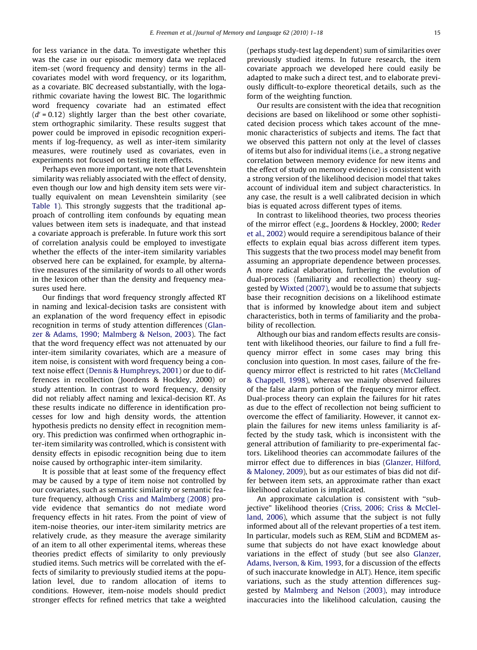for less variance in the data. To investigate whether this was the case in our episodic memory data we replaced item-set (word frequency and density) terms in the allcovariates model with word frequency, or its logarithm, as a covariate. BIC decreased substantially, with the logarithmic covariate having the lowest BIC. The logarithmic word frequency covariate had an estimated effect  $(d' = 0.12)$  slightly larger than the best other covariate, stem orthographic similarity. These results suggest that power could be improved in episodic recognition experiments if log-frequency, as well as inter-item similarity measures, were routinely used as covariates, even in experiments not focused on testing item effects.

Perhaps even more important, we note that Levenshtein similarity was reliably associated with the effect of density, even though our low and high density item sets were virtually equivalent on mean Levenshtein similarity (see [Table 1](#page-6-0)). This strongly suggests that the traditional approach of controlling item confounds by equating mean values between item sets is inadequate, and that instead a covariate approach is preferable. In future work this sort of correlation analysis could be employed to investigate whether the effects of the inter-item similarity variables observed here can be explained, for example, by alternative measures of the similarity of words to all other words in the lexicon other than the density and frequency measures used here.

Our findings that word frequency strongly affected RT in naming and lexical-decision tasks are consistent with an explanation of the word frequency effect in episodic recognition in terms of study attention differences [\(Glan](#page-16-0)[zer & Adams, 1990; Malmberg & Nelson, 2003\)](#page-16-0). The fact that the word frequency effect was not attenuated by our inter-item similarity covariates, which are a measure of item noise, is consistent with word frequency being a context noise effect ([Dennis & Humphreys, 2001](#page-16-0)) or due to differences in recollection (Joordens & Hockley, 2000) or study attention. In contrast to word frequency, density did not reliably affect naming and lexical-decision RT. As these results indicate no difference in identification processes for low and high density words, the attention hypothesis predicts no density effect in recognition memory. This prediction was confirmed when orthographic inter-item similarity was controlled, which is consistent with density effects in episodic recognition being due to item noise caused by orthographic inter-item similarity.

It is possible that at least some of the frequency effect may be caused by a type of item noise not controlled by our covariates, such as semantic similarity or semantic feature frequency, although [Criss and Malmberg \(2008\)](#page-16-0) provide evidence that semantics do not mediate word frequency effects in hit rates. From the point of view of item-noise theories, our inter-item similarity metrics are relatively crude, as they measure the average similarity of an item to all other experimental items, whereas these theories predict effects of similarity to only previously studied items. Such metrics will be correlated with the effects of similarity to previously studied items at the population level, due to random allocation of items to conditions. However, item-noise models should predict stronger effects for refined metrics that take a weighted (perhaps study-test lag dependent) sum of similarities over previously studied items. In future research, the item covariate approach we developed here could easily be adapted to make such a direct test, and to elaborate previously difficult-to-explore theoretical details, such as the form of the weighting function.

Our results are consistent with the idea that recognition decisions are based on likelihood or some other sophisticated decision process which takes account of the mnemonic characteristics of subjects and items. The fact that we observed this pattern not only at the level of classes of items but also for individual items (i.e., a strong negative correlation between memory evidence for new items and the effect of study on memory evidence) is consistent with a strong version of the likelihood decision model that takes account of individual item and subject characteristics. In any case, the result is a well calibrated decision in which bias is equated across different types of items.

In contrast to likelihood theories, two process theories of the mirror effect (e.g., Joordens & Hockley, 2000; [Reder](#page-16-0) [et al., 2002](#page-16-0)) would require a serendipitous balance of their effects to explain equal bias across different item types. This suggests that the two process model may benefit from assuming an appropriate dependence between processes. A more radical elaboration, furthering the evolution of dual-process (familiarity and recollection) theory suggested by [Wixted \(2007\)](#page-17-0), would be to assume that subjects base their recognition decisions on a likelihood estimate that is informed by knowledge about item and subject characteristics, both in terms of familiarity and the probability of recollection.

Although our bias and random effects results are consistent with likelihood theories, our failure to find a full frequency mirror effect in some cases may bring this conclusion into question. In most cases, failure of the frequency mirror effect is restricted to hit rates ([McClelland](#page-16-0) [& Chappell, 1998\)](#page-16-0), whereas we mainly observed failures of the false alarm portion of the frequency mirror effect. Dual-process theory can explain the failures for hit rates as due to the effect of recollection not being sufficient to overcome the effect of familiarity. However, it cannot explain the failures for new items unless familiarity is affected by the study task, which is inconsistent with the general attribution of familiarity to pre-experimental factors. Likelihood theories can accommodate failures of the mirror effect due to differences in bias [\(Glanzer, Hilford,](#page-16-0) [& Maloney, 2009\)](#page-16-0), but as our estimates of bias did not differ between item sets, an approximate rather than exact likelihood calculation is implicated.

An approximate calculation is consistent with ''subjective" likelihood theories [\(Criss, 2006; Criss & McClel](#page-16-0)[land, 2006](#page-16-0)), which assume that the subject is not fully informed about all of the relevant properties of a test item. In particular, models such as REM, SLiM and BCDMEM assume that subjects do not have exact knowledge about variations in the effect of study (but see also [Glanzer,](#page-16-0) [Adams, Iverson, & Kim, 1993,](#page-16-0) for a discussion of the effects of such inaccurate knowledge in ALT). Hence, item specific variations, such as the study attention differences suggested by [Malmberg and Nelson \(2003\)](#page-16-0), may introduce inaccuracies into the likelihood calculation, causing the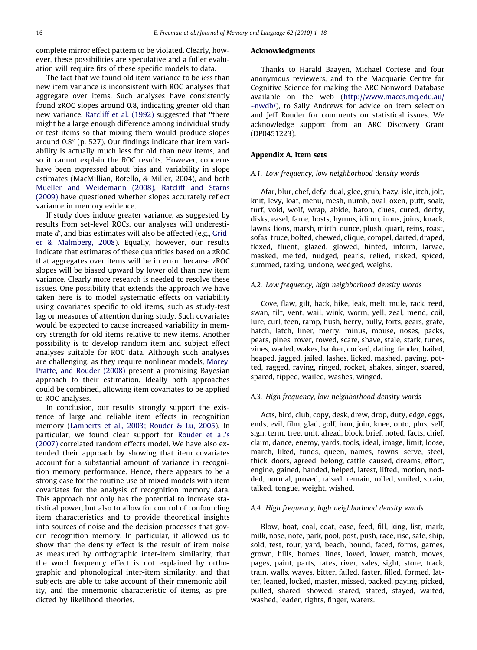complete mirror effect pattern to be violated. Clearly, however, these possibilities are speculative and a fuller evaluation will require fits of these specific models to data.

The fact that we found old item variance to be less than new item variance is inconsistent with ROC analyses that aggregate over items. Such analyses have consistently found zROC slopes around 0.8, indicating greater old than new variance. [Ratcliff et al. \(1992\)](#page-16-0) suggested that ''there might be a large enough difference among individual study or test items so that mixing them would produce slopes around  $0.8$ " (p. 527). Our findings indicate that item variability is actually much less for old than new items, and so it cannot explain the ROC results. However, concerns have been expressed about bias and variability in slope estimates (MacMillian, Rotello, & Miller, 2004), and both [Mueller and Weidemann \(2008\), Ratcliff and Starns](#page-16-0) [\(2009\)](#page-16-0) have questioned whether slopes accurately reflect variance in memory evidence.

If study does induce greater variance, as suggested by results from set-level ROCs, our analyses will underesti-mate d', and bias estimates will also be affected (e.g., [Grid](#page-16-0)[er & Malmberg, 2008](#page-16-0)). Equally, however, our results indicate that estimates of these quantities based on a zROC that aggregates over items will be in error, because zROC slopes will be biased upward by lower old than new item variance. Clearly more research is needed to resolve these issues. One possibility that extends the approach we have taken here is to model systematic effects on variability using covariates specific to old items, such as study-test lag or measures of attention during study. Such covariates would be expected to cause increased variability in memory strength for old items relative to new items. Another possibility is to develop random item and subject effect analyses suitable for ROC data. Although such analyses are challenging, as they require nonlinear models, [Morey,](#page-16-0) [Pratte, and Rouder \(2008\)](#page-16-0) present a promising Bayesian approach to their estimation. Ideally both approaches could be combined, allowing item covariates to be applied to ROC analyses.

In conclusion, our results strongly support the existence of large and reliable item effects in recognition memory [\(Lamberts et al., 2003; Rouder & Lu, 2005\)](#page-16-0). In particular, we found clear support for [Rouder et al.'s](#page-17-0) [\(2007\)](#page-17-0) correlated random effects model. We have also extended their approach by showing that item covariates account for a substantial amount of variance in recognition memory performance. Hence, there appears to be a strong case for the routine use of mixed models with item covariates for the analysis of recognition memory data. This approach not only has the potential to increase statistical power, but also to allow for control of confounding item characteristics and to provide theoretical insights into sources of noise and the decision processes that govern recognition memory. In particular, it allowed us to show that the density effect is the result of item noise as measured by orthographic inter-item similarity, that the word frequency effect is not explained by orthographic and phonological inter-item similarity, and that subjects are able to take account of their mnemonic ability, and the mnemonic characteristic of items, as predicted by likelihood theories.

#### Acknowledgments

Thanks to Harald Baayen, Michael Cortese and four anonymous reviewers, and to the Macquarie Centre for Cognitive Science for making the ARC Nonword Database available on the web [\(http://www.maccs.mq.edu.au/](http://www.maccs.mq.edu.au/~nwdb/) [~nwdb/\)](http://www.maccs.mq.edu.au/~nwdb/), to Sally Andrews for advice on item selection and Jeff Rouder for comments on statistical issues. We acknowledge support from an ARC Discovery Grant (DP0451223).

#### Appendix A. Item sets

#### A.1. Low frequency, low neighborhood density words

Afar, blur, chef, defy, dual, glee, grub, hazy, isle, itch, jolt, knit, levy, loaf, menu, mesh, numb, oval, oxen, putt, soak, turf, void, wolf, wrap, abide, baton, clues, cured, derby, disks, easel, farce, hosts, hymns, idiom, irons, joins, knack, lawns, lions, marsh, mirth, ounce, plush, quart, reins, roast, sofas, truce, bolted, chewed, clique, compel, darted, draped, flexed, fluent, glazed, glowed, hinted, inform, larvae, masked, melted, nudged, pearls, relied, risked, spiced, summed, taxing, undone, wedged, weighs.

#### A.2. Low frequency, high neighborhood density words

Cove, flaw, gilt, hack, hike, leak, melt, mule, rack, reed, swan, tilt, vent, wail, wink, worm, yell, zeal, mend, coil, lure, curl, teen, ramp, hush, berry, bully, forts, gears, grate, hatch, latch, liner, merry, minus, mouse, noses, packs, pears, pines, rover, rowed, scare, shave, stale, stark, tunes, vines, waded, wakes, banker, cocked, dating, fender, hailed, heaped, jagged, jailed, lashes, licked, mashed, paving, potted, ragged, raving, ringed, rocket, shakes, singer, soared, spared, tipped, wailed, washes, winged.

#### A.3. High frequency, low neighborhood density words

Acts, bird, club, copy, desk, drew, drop, duty, edge, eggs, ends, evil, film, glad, golf, iron, join, knee, onto, plus, self, sign, term, tree, unit, ahead, block, brief, noted, facts, chief, claim, dance, enemy, yards, tools, ideal, image, limit, loose, march, liked, funds, queen, names, towns, serve, steel, thick, doors, agreed, belong, cattle, caused, dreams, effort, engine, gained, handed, helped, latest, lifted, motion, nodded, normal, proved, raised, remain, rolled, smiled, strain, talked, tongue, weight, wished.

#### A.4. High frequency, high neighborhood density words

Blow, boat, coal, coat, ease, feed, fill, king, list, mark, milk, nose, note, park, pool, post, push, race, rise, safe, ship, sold, test, tour, yard, beach, bound, faced, forms, games, grown, hills, homes, lines, loved, lower, match, moves, pages, paint, parts, rates, river, sales, sight, store, track, train, walls, waves, bitter, failed, faster, filled, formed, latter, leaned, locked, master, missed, packed, paying, picked, pulled, shared, showed, stared, stated, stayed, waited, washed, leader, rights, finger, waters.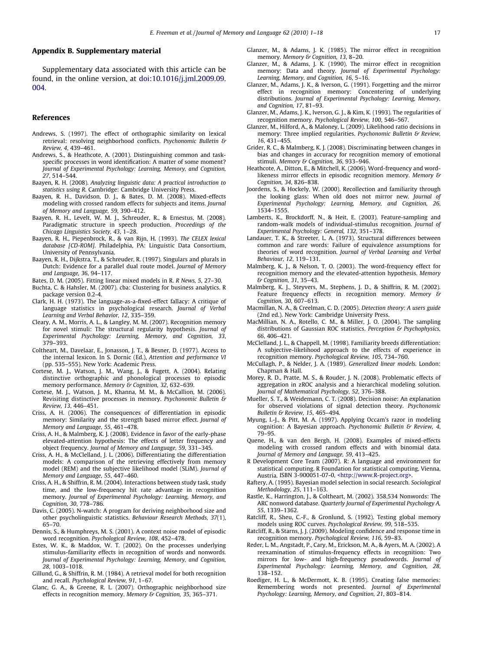#### <span id="page-16-0"></span>Appendix B. Supplementary material

Supplementary data associated with this article can be found, in the online version, at [doi:10.1016/j.jml.2009.09.](http://dx.doi.org/10.1016/j.jml.2009.09.004) [004.](http://dx.doi.org/10.1016/j.jml.2009.09.004)

#### References

- Andrews, S. (1997). The effect of orthographic similarity on lexical retrieval: resolving neighborhood conflicts. Psychonomic Bulletin & Review, 4, 439–461.
- Andrews, S., & Heathcote, A. (2001). Distinguishing common and taskspecific processes in word identification: A matter of some moment? Journal of Experimental Psychology: Learning, Memory, and Cognition, 27, 514–544.
- Baayen, R. H. (2008). Analyzing linguistic data: A practical introduction to statistics using R. Cambridge: Cambridge University Press.
- Baayen, R. H., Davidson, D. J., & Bates, D. M. (2008). Mixed-effects modeling with crossed random effects for subjects and items. Journal of Memory and Language, 59, 390–412.
- Baayen, R. H., Levelt, W. M. J., Schreuder, R., & Ernestus, M. (2008). Paradigmatic structure in speech production. Proceedings of the Chicago Linguistics Society, 43, 1–28.
- Baayen, R. H., Piepenbrock, R., & van Rijn, H. (1993). The CELEX lexical database [CD-ROM]. Philadelphia, PA: Linguistic Data Consortium, University of Pennsylvania.
- Baayen, R. H., Dijkstra, T., & Schreuder, R. (1997). Singulars and plurals in Dutch: Evidence for a parallel dual route model. Journal of Memory and Language, 36, 94–117.
- Bates, D. M. (2005). Fitting linear mixed models in R. R News, 5, 27–30.
- Buchta, C. & Hahsler, M. (2007). cba: Clustering for business analytics. R package version 0.2-4.
- Clark, H. H. (1973). The language-as-a-fixed-effect fallacy: A critique of language statistics in psychological research. Journal of Verbal Learning and Verbal Behavior, 12, 335–359.
- Cleary, A. M., Morris, A. L., & Langley, M. M. (2007). Recognition memory for novel stimuli: The structural regularity hypothesis. Journal of Experimental Psychology: Learning, Memory, and Cognition, 33, 379–393.
- Coltheart, M., Davelaar, E., Jonasson, J. T., & Besner, D. (1977). Access to the internal lexicon. In S. Dornic (Ed.), Attention and performance VI (pp. 535–555). New York: Academic Press.
- Cortese, M. J., Watson, J. M., Wang, J., & Fugett, A. (2004). Relating distinctive orthographic and phonological processes to episodic memory performance. Memory & Cognition, 32, 632-639.
- Cortese, M. J., Watson, J. M., Khanna, M. M., & McCallion, M. (2006). Revisiting distinctive processes in memory. Psychonomic Bulletin & Review, 13, 446–451.
- Criss, A. H. (2006). The consequences of differentiation in episodic memory: Similarity and the strength based mirror effect. Journal of Memory and Language, 55, 461–478.
- Criss, A. H., & Malmberg, K. J. (2008). Evidence in favor of the early-phase elevated-attention hypothesis: The effects of letter frequency and object frequency. Journal of Memory and Language, 59, 331–345.
- Criss, A. H., & McClelland, J. L. (2006). Differentiating the differentiation models: A comparison of the retrieving effectively from memory model (REM) and the subjective likelihood model (SLiM). Journal of Memory and Language, 55, 447–460.
- Criss, A. H., & Shiffrin, R. M. (2004). Interactions between study task, study time, and the low-frequency hit rate advantage in recognition memory. Journal of Experimental Psychology: Learning, Memory, and Cognition, 30, 778–786.
- Davis, C. (2005). N-watch: A program for deriving neighborhood size and other psycholinguistic statistics. Behaviour Research Methods, 37(1), 65–70.
- Dennis, S., & Humphreys, M. S. (2001). A context noise model of episodic word recognition. Psychological Review, 108, 452–478.
- Estes, W. K., & Maddox, W. T. (2002). On the processes underlying stimulus-familiarity effects in recognition of words and nonwords. Journal of Experimental Psychology: Learning, Memory, and Cognition, 28, 1003–1018.
- Gillund, G., & Shiffrin, R. M. (1984). A retrieval model for both recognition and recall. Psychological Review, 91, 1–67.
- Glanc, G. A., & Greene, R. L. (2007). Orthographic neighborhood size effects in recognition memory. Memory & Cognition, 35, 365-371.
- Glanzer, M., & Adams, J. K. (1985). The mirror effect in recognition memory. Memory & Cognition, 13, 8-20.
- Glanzer, M., & Adams, J. K. (1990). The mirror effect in recognition memory: Data and theory. Journal of Experimental Psychology: Learning, Memory, and Cognition, 16, 5–16.
- Glanzer, M., Adams, J. K., & Iverson, G. (1991). Forgetting and the mirror effect in recognition memory: Concentering of underlying distributions. Journal of Experimental Psychology: Learning, Memory, and Cognition, 17, 81–93.
- Glanzer, M., Adams, J. K., Iverson, G. J., & Kim, K. (1993). The regularities of recognition memory. Psychological Review, 100, 546–567.
- Glanzer, M., Hilford, A., & Maloney, L. (2009). Likelihood ratio decisions in memory: Three implied regularities. Psychonomic Bulletin & Review, 16, 431–455.
- Grider, R. C., & Malmberg, K. J. (2008). Discriminating between changes in bias and changes in accuracy for recognition memory of emotional stimuli. Memory & Cognition, 36, 933-946.
- Heathcote, A., Ditton, E., & Mitchell, K. (2006). Word-frequency and wordlikeness mirror effects in episodic recognition memory. Memory & Cognition, 34, 826–838.
- Joordens, S., & Hockely, W. (2000). Recollection and familiarity through the looking glass: When old does not mirror new. Journal of Experimental Psychology: Learning, Memory, and Cognition, 26, 1534–1555.
- Lamberts, K., Brockdorff, N., & Heit, E. (2003). Feature-sampling and random-walk models of individual-stimulus recognition. Journal of Experimental Psychology: General, 132, 351–378.
- Landauer, T. K., & Streeter, L. A. (1973). Structural differences between common and rare words: Failure of equivalence assumptions for theories of word recognition. Journal of Verbal Learning and Verbal Behaviour, 12, 119–131.
- Malmberg, K. J., & Nelson, T. O. (2003). The word-frequency effect for recognition memory and the elevated-attention hypothesis. Memory & Cognition, 31, 35–43.
- Malmberg, K. J., Steyvers, M., Stephens, J. D., & Shiffrin, R. M. (2002). Feature frequency effects in recognition memory. Memory & Cognition, 30, 607–613.
- Macmillan, N. A., & Creelman, C. D. (2005). Detection theory: A users guide (2nd ed.). New York: Cambridge University Press.
- MacMillian, N. A., Rotello, C. M., & Miller, J. O. (2004). The sampling distributions of Gaussian ROC statistics. Perception & Psychophysics, 66, 406–421.
- McClelland, J. L., & Chappell, M. (1998). Familiarity breeds differentiation: A subjective-likelihood approach to the effects of experience in recognition memory. Psychological Review, 105, 734–760.
- McCullagh, P., & Nelder, J. A. (1989). Generalized linear models. London: Chapman & Hall.
- Morey, R. D., Pratte, M. S., & Rouder, J. N. (2008). Problematic effects of aggregation in zROC analysis and a hierarchical modeling solution. Journal of Mathematical Psychology, 52, 376–388.
- Mueller, S. T., & Weidemann, C. T. (2008). Decision noise: An explanation for observed violations of signal detection theory. Psychonomic Bulletin & Review, 15, 465–494.
- Myung, I.-J., & Pitt, M. A. (1997). Applying Occam's razor in modeling cognition: A Bayesian approach. Psychonomic Bulletin & Review, 4, 79–95.
- Quene, H., & van den Bergh, H. (2008). Examples of mixed-effects modeling with crossed random effects and with binomial data. Journal of Memory and Language, 59, 413–425.
- R Development Core Team (2007). R: A language and environment for statistical computing. R Foundation for statistical computing, Vienna, Austria. ISBN 3-900051-07-0, [<http://www.R-project.org>.](http://www.R-project.org)
- Raftery, A. (1995). Bayesian model selection in social research. Sociological Methodology, 25, 111–163.
- Rastle, K., Harrington, J., & Coltheart, M. (2002). 358,534 Nonwords: The ARC nonword database. Quarterly Journal of Experimental Psychology A, 55, 1339–1362.
- Ratcliff, R., Sheu, C.-F., & Gronlund, S. (1992). Testing global memory models using ROC curves. Psychological Review, 99, 518–535.
- Ratcliff, R., & Starns, J. J. (2009). Modeling confidence and response time in recognition memory. Psychological Review, 116, 59–83.
- Reder, L. M., Angstadt, P., Cary, M., Erickson, M. A., & Ayers, M. A. (2002). A reexamination of stimulus-frequency effects in recognition: Two mirrors for low- and high-frequency pseudowords. Journal of Experimental Psychology: Learning, Memory, and Cognition, 28, 138–152.
- Roediger, H. L., & McDermott, K. B. (1995). Creating false memories: Remembering words not presented. Journal of Experimental Psychology: Learning, Memory, and Cognition, 21, 803–814.